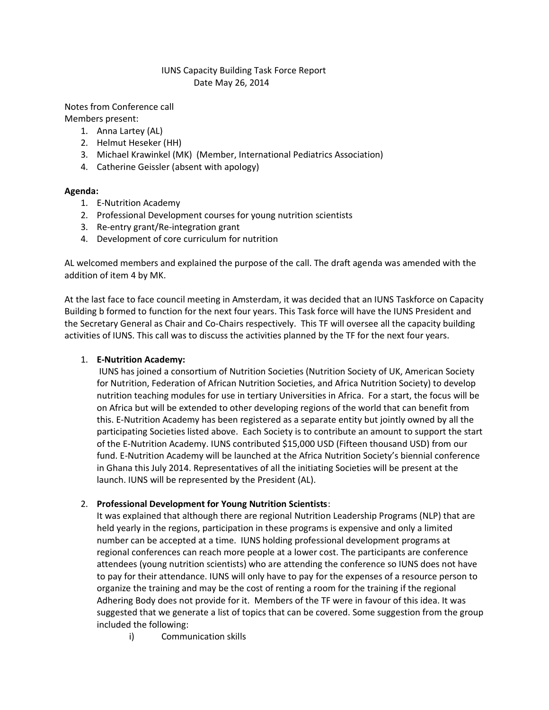### IUNS Capacity Building Task Force Report Date May 26, 2014

Notes from Conference call Members present:

- 1. Anna Lartey (AL)
- 2. Helmut Heseker (HH)
- 3. Michael Krawinkel (MK) (Member, International Pediatrics Association)
- 4. Catherine Geissler (absent with apology)

#### **Agenda:**

- 1. E-Nutrition Academy
- 2. Professional Development courses for young nutrition scientists
- 3. Re-entry grant/Re-integration grant
- 4. Development of core curriculum for nutrition

AL welcomed members and explained the purpose of the call. The draft agenda was amended with the addition of item 4 by MK.

At the last face to face council meeting in Amsterdam, it was decided that an IUNS Taskforce on Capacity Building b formed to function for the next four years. This Task force will have the IUNS President and the Secretary General as Chair and Co-Chairs respectively. This TF will oversee all the capacity building activities of IUNS. This call was to discuss the activities planned by the TF for the next four years.

# 1. **E-Nutrition Academy:**

IUNS has joined a consortium of Nutrition Societies (Nutrition Society of UK, American Society for Nutrition, Federation of African Nutrition Societies, and Africa Nutrition Society) to develop nutrition teaching modules for use in tertiary Universities in Africa. For a start, the focus will be on Africa but will be extended to other developing regions of the world that can benefit from this. E-Nutrition Academy has been registered as a separate entity but jointly owned by all the participating Societies listed above. Each Society is to contribute an amount to support the start of the E-Nutrition Academy. IUNS contributed \$15,000 USD (Fifteen thousand USD) from our fund. E-Nutrition Academy will be launched at the Africa Nutrition Society's biennial conference in Ghana this July 2014. Representatives of all the initiating Societies will be present at the launch. IUNS will be represented by the President (AL).

# 2. **Professional Development for Young Nutrition Scientists**:

It was explained that although there are regional Nutrition Leadership Programs (NLP) that are held yearly in the regions, participation in these programs is expensive and only a limited number can be accepted at a time. IUNS holding professional development programs at regional conferences can reach more people at a lower cost. The participants are conference attendees (young nutrition scientists) who are attending the conference so IUNS does not have to pay for their attendance. IUNS will only have to pay for the expenses of a resource person to organize the training and may be the cost of renting a room for the training if the regional Adhering Body does not provide for it. Members of the TF were in favour of this idea. It was suggested that we generate a list of topics that can be covered. Some suggestion from the group included the following:

i) Communication skills